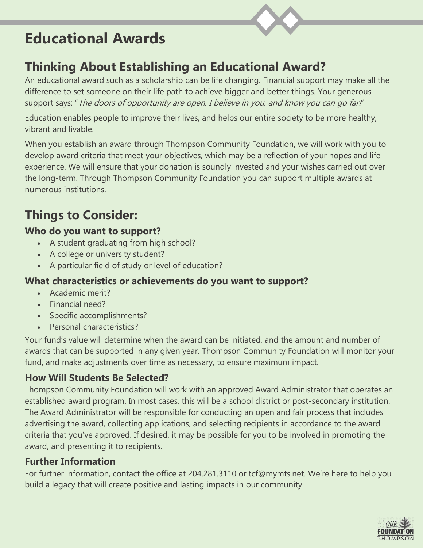# **Educational Awards**



## **Thinking About Establishing an Educational Award?**

An educational award such as a scholarship can be life changing. Financial support may make all the difference to set someone on their life path to achieve bigger and better things. Your generous support says: " The doors of opportunity are open. I believe in you, and know you can go far!"

Education enables people to improve their lives, and helps our entire society to be more healthy, vibrant and livable.

When you establish an award through Thompson Community Foundation, we will work with you to develop award criteria that meet your objectives, which may be a reflection of your hopes and life experience. We will ensure that your donation is soundly invested and your wishes carried out over the long-term. Through Thompson Community Foundation you can support multiple awards at numerous institutions.

# **Things to Consider:**

#### **Who do you want to support?**

- A student graduating from high school?
- A college or university student?
- A particular field of study or level of education?

#### **What characteristics or achievements do you want to support?**

- Academic merit?
- Financial need?
- Specific accomplishments?
- Personal characteristics?

Your fund's value will determine when the award can be initiated, and the amount and number of awards that can be supported in any given year. Thompson Community Foundation will monitor your fund, and make adjustments over time as necessary, to ensure maximum impact.

### **How Will Students Be Selected?**

Thompson Community Foundation will work with an approved Award Administrator that operates an established award program. In most cases, this will be a school district or post-secondary institution. The Award Administrator will be responsible for conducting an open and fair process that includes advertising the award, collecting applications, and selecting recipients in accordance to the award criteria that you've approved. If desired, it may be possible for you to be involved in promoting the award, and presenting it to recipients.

### **Further Information**

For further information, contact the office at 204.281.3110 or tcf@mymts.net. We're here to help you build a legacy that will create positive and lasting impacts in our community.